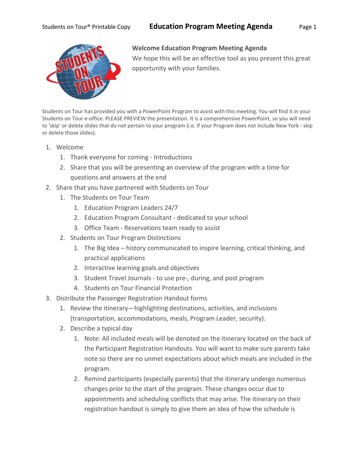## Students on Tour<sup>®</sup> Printable Copy **Education Program Meeting Agenda** Page 1



## **Welcome Education Program Meeting Agenda**

We hope this will be an effective tool as you present this great opportunity with your families.

Students on Tour has provided you with a PowerPoint Program to assist with this meeting. You will find it in your Students on Tour e-office. PLEASE PREVIEW the presentation. It is a comprehensive PowerPoint, so you will need to 'skip' or delete slides that do not pertain to your program (i.e. if your Program does not include New York - skip or delete those slides).

- 1. Welcome
	- 1. Thank everyone for coming Introductions
	- 2. Share that you will be presenting an overview of the program with a time for questions and answers at the end
- 2. Share that you have partnered with Students on Tour
	- 1. The Students on Tour Team
		- 1. Education Program Leaders 24/7
		- 2. Education Program Consultant dedicated to your school
		- 3. Office Team Reservations team ready to assist
	- 2. Students on Tour Program Distinctions
		- 1. The Big Idea history communicated to inspire learning, critical thinking, and practical applications
		- 2. Interactive learning goals and objectives
		- 3. Student Travel Journals to use pre-, during, and post program
		- 4. Students on Tour Financial Protection
- 3. Distribute the Passenger Registration Handout forms
	- 1. Review the itinerary—highlighting destinations, activities, and inclusions (transportation, accommodations, meals, Program Leader, security).
	- 2. Describe a typical day
		- 1. Note: All included meals will be denoted on the itinerary located on the back of the Participant Registration Handouts. You will want to make sure parents take note so there are no unmet expectations about which meals are included in the program.
		- 2. Remind participants (especially parents) that the itinerary undergo numerous changes prior to the start of the program. These changes occur due to appointments and scheduling conflicts that may arise. The itinerary on their registration handout is simply to give them an idea of how the schedule is